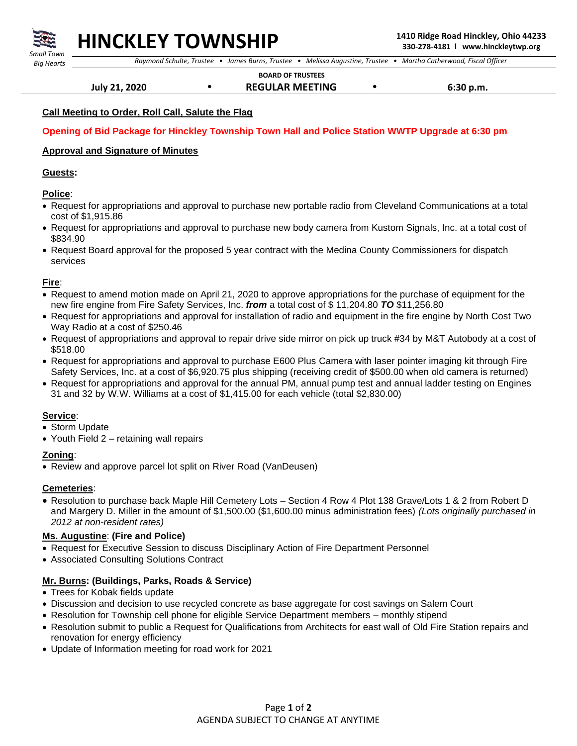

## **HINCKLEY TOWNSHIP 1410 Ridge Road Hinckley, Ohio 44233**

 *Raymond Schulte, Trustee • James Burns, Trustee • Melissa Augustine, Trustee • Martha Catherwood, Fiscal Officer*

 **BOARD OF TRUSTEES**

 **July 21, 2020 • REGULAR MEETING • 6:30 p.m.** 

#### **Call Meeting to Order, Roll Call, Salute the Flag**

#### **Opening of Bid Package for Hinckley Township Town Hall and Police Station WWTP Upgrade at 6:30 pm**

#### **Approval and Signature of Minutes**

#### **Guests:**

#### **Police**:

- Request for appropriations and approval to purchase new portable radio from Cleveland Communications at a total cost of \$1,915.86
- Request for appropriations and approval to purchase new body camera from Kustom Signals, Inc. at a total cost of \$834.90
- Request Board approval for the proposed 5 year contract with the Medina County Commissioners for dispatch services

#### **Fire**:

- Request to amend motion made on April 21, 2020 to approve appropriations for the purchase of equipment for the new fire engine from Fire Safety Services, Inc. *from* a total cost of \$ 11,204.80 *TO* \$11,256.80
- Request for appropriations and approval for installation of radio and equipment in the fire engine by North Cost Two Way Radio at a cost of \$250.46
- Request of appropriations and approval to repair drive side mirror on pick up truck #34 by M&T Autobody at a cost of \$518.00
- Request for appropriations and approval to purchase E600 Plus Camera with laser pointer imaging kit through Fire Safety Services, Inc. at a cost of \$6,920.75 plus shipping (receiving credit of \$500.00 when old camera is returned)
- Request for appropriations and approval for the annual PM, annual pump test and annual ladder testing on Engines 31 and 32 by W.W. Williams at a cost of \$1,415.00 for each vehicle (total \$2,830.00)

#### **Service**:

- Storm Update
- Youth Field 2 retaining wall repairs

#### **Zoning**:

• Review and approve parcel lot split on River Road (VanDeusen)

#### **Cemeteries**:

• Resolution to purchase back Maple Hill Cemetery Lots – Section 4 Row 4 Plot 138 Grave/Lots 1 & 2 from Robert D and Margery D. Miller in the amount of \$1,500.00 (\$1,600.00 minus administration fees) *(Lots originally purchased in 2012 at non-resident rates)*

#### **Ms. Augustine**: **(Fire and Police)**

- Request for Executive Session to discuss Disciplinary Action of Fire Department Personnel
- Associated Consulting Solutions Contract

#### **Mr. Burns: (Buildings, Parks, Roads & Service)**

- Trees for Kobak fields update
- Discussion and decision to use recycled concrete as base aggregate for cost savings on Salem Court
- Resolution for Township cell phone for eligible Service Department members monthly stipend
- Resolution submit to public a Request for Qualifications from Architects for east wall of Old Fire Station repairs and renovation for energy efficiency
- Update of Information meeting for road work for 2021